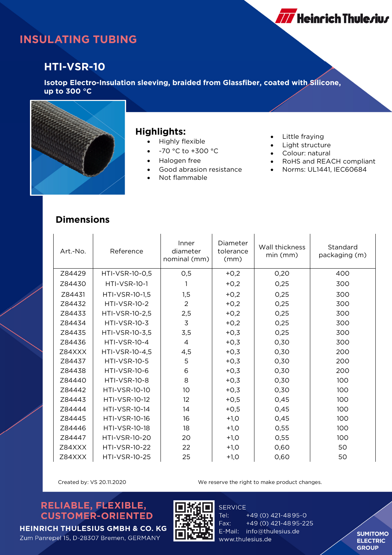

### **INSULATING TUBING**

### **HTI-VSR-10**

**Isotop Electro-Insulation sleeving, braided from Glassfiber, coated with Silicone, up to 300 °C**



#### **Highlights:**

- Highly flexible
- -70 °C to +300 °C
- Halogen free
- Good abrasion resistance
- Not flammable
- Little fraying
- Light structure
- Colour: natural
- RoHS and REACH compliant
- Norms: UL1441, IEC60684

#### **Dimensions**

| Art.-No. | Reference            | Inner<br>diameter<br>nominal (mm) | Diameter<br>tolerance<br>(mm) | Wall thickness<br>$min$ ( $mm$ ) | Standard<br>packaging (m) |
|----------|----------------------|-----------------------------------|-------------------------------|----------------------------------|---------------------------|
| Z84429   | HTI-VSR-10-0,5       | 0,5                               | $+0,2$                        | 0,20                             | 400                       |
| Z84430   | <b>HTI-VSR-10-1</b>  | 1                                 | $+0,2$                        | 0,25                             | 300                       |
| Z84431   | HTI-VSR-10-1,5       | 1,5                               | $+0,2$                        | 0,25                             | 300                       |
| Z84432   | <b>HTI-VSR-10-2</b>  | $\overline{2}$                    | $+0,2$                        | 0,25                             | 300                       |
| Z84433   | HTI-VSR-10-2,5       | 2,5                               | $+0,2$                        | 0,25                             | 300                       |
| Z84434   | <b>HTI-VSR-10-3</b>  | $\overline{3}$                    | $+0,2$                        | 0,25                             | 300                       |
| Z84435   | HTI-VSR-10-3,5       | 3,5                               | $+0,3$                        | 0,25                             | 300                       |
| Z84436   | <b>HTI-VSR-10-4</b>  | 4                                 | $+0,3$                        | 0,30                             | 300                       |
| Z84XXX   | HTI-VSR-10-4,5       | 4,5                               | $+0,3$                        | 0,30                             | 200                       |
| Z84437   | <b>HTI-VSR-10-5</b>  | 5                                 | $+0,3$                        | 0,30                             | 200                       |
| Z84438   | <b>HTI-VSR-10-6</b>  | 6                                 | $+0,3$                        | 0.30                             | 200                       |
| Z84440   | <b>HTI-VSR-10-8</b>  | 8                                 | $+0,3$                        | 0,30                             | 100                       |
| 784442   | <b>HTI-VSR-10-10</b> | 10 <sup>°</sup>                   | $+0,3$                        | 0,30                             | 100                       |
| Z84443   | <b>HTI-VSR-10-12</b> | 12                                | $+0,5$                        | 0,45                             | 100                       |
| Z84444   | <b>HTI-VSR-10-14</b> | 14                                | $+0,5$                        | 0,45                             | 100                       |
| Z84445   | <b>HTI-VSR-10-16</b> | 16                                | $+1,0$                        | 0,45                             | 100                       |
| Z84446   | <b>HTI-VSR-10-18</b> | 18                                | $+1,0$                        | 0,55                             | 100                       |
| Z84447   | <b>HTI-VSR-10-20</b> | 20                                | $+1,0$                        | 0,55                             | 100                       |
| Z84XXX   | <b>HTI-VSR-10-22</b> | 22                                | $+1,0$                        | 0,60                             | 50                        |
| Z84XXX   | <b>HTI-VSR-10-25</b> | 25                                | $+1,0$                        | 0,60                             | 50                        |

Created by: VS 20.11.2020 We reserve the right to make product changes.

#### RELIABLE, FLEXIBLE, **CUSTOMER-ORIENTED**



**SERVICE** Tel: +49 (0) 421-4895-0 Fax: +49 (0) 421-4895-225 E-Mail: info@thulesius.de www.thulesius.de

**SUMITOMO ELECTRIC GROUP** 

**HEINRICH THULESIUS GMBH & CO. KG** Zum Panrepel 15, D-28307 Bremen, GERMANY